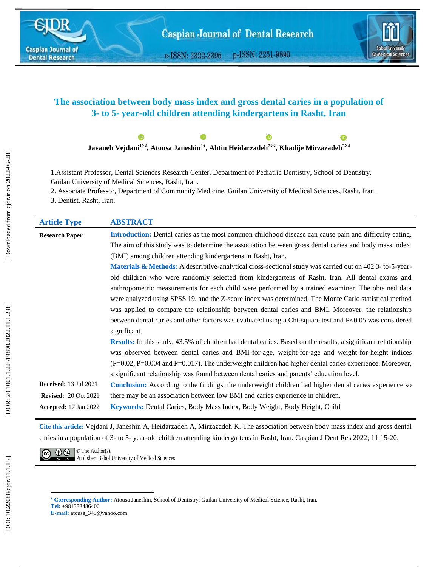

e-ISSN: 2322-2395 p-ISSN: 2251-9890



# **The association between body mass index and gross dental caries in a population of 3- to 5- year-old children attending kindergartens in Rasht, Iran**



1 .Assistant Professor, Dental Sciences Research Center, Department of Pediatric Dentistry, School of Dentistry, Guilan University of Medical Sciences, Rasht, Iran.

2. Associate Professor, Department of Community Medicine, Guilan University of Medical Sciences , Rasht, Iran.

3. Dentist, Rasht, Iran .

| <b>Article Type</b>          | <b>ABSTRACT</b>                                                                                                      |
|------------------------------|----------------------------------------------------------------------------------------------------------------------|
| <b>Research Paper</b>        | Introduction: Dental caries as the most common childhood disease can cause pain and difficulty eating.               |
|                              | The aim of this study was to determine the association between gross dental caries and body mass index               |
|                              | (BMI) among children attending kindergartens in Rasht, Iran.                                                         |
|                              | <b>Materials &amp; Methods:</b> A descriptive-analytical cross-sectional study was carried out on $402$ 3-to-5-year- |
|                              | old children who were randomly selected from kindergartens of Rasht, Iran. All dental exams and                      |
|                              | anthropometric measurements for each child were performed by a trained examiner. The obtained data                   |
|                              | were analyzed using SPSS 19, and the Z-score index was determined. The Monte Carlo statistical method                |
|                              | was applied to compare the relationship between dental caries and BMI. Moreover, the relationship                    |
|                              | between dental caries and other factors was evaluated using a Chi-square test and P<0.05 was considered              |
|                              | significant.                                                                                                         |
|                              | <b>Results:</b> In this study, 43.5% of children had dental caries. Based on the results, a significant relationship |
|                              | was observed between dental caries and BMI-for-age, weight-for-age and weight-for-height indices                     |
|                              | $(P=0.02, P=0.004$ and $P=0.017$ ). The underweight children had higher dental caries experience. Moreover,          |
|                              | a significant relationship was found between dental caries and parents' education level.                             |
| <b>Received: 13 Jul 2021</b> | <b>Conclusion:</b> According to the findings, the underweight children had higher dental caries experience so        |
| <b>Revised: 20 Oct 2021</b>  | there may be an association between low BMI and caries experience in children.                                       |
| <b>Accepted:</b> 17 Jan 2022 | Keywords: Dental Caries, Body Mass Index, Body Weight, Body Height, Child                                            |

**Cite this article:** Vejdani J, Janeshin A, Heidarzadeh A, Mirzazadeh K. The association between body mass index and gross dental caries in a population of 3- to 5- year-old children attending kindergartens in Rasht, Iran. Caspian J Dent Res 2022; 11:15-20.

 $\overline{(c c)}$   $\overline{① \otimes 1}$   $\circ$  The Author(s). **Publisher: Babol University of Medical Sciences** 

l

**Corresponding Author:** Atousa Janeshin, School of Dentistry, Guilan University of Medical Science, Rasht, Iran. **Tel :** +981333486406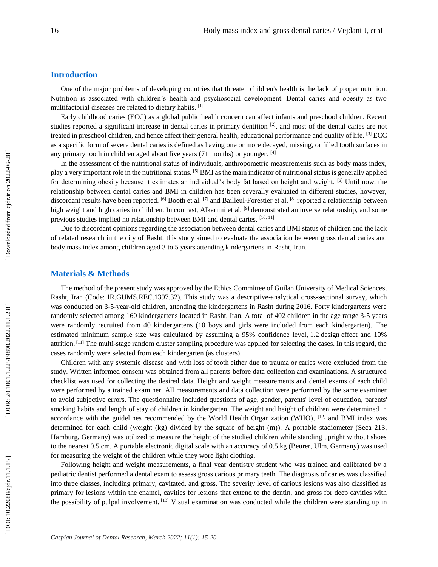## **Introduction**

One of the major problems of developing countries that threaten children's health is the lack of proper nutrition. Nutrition is associated with children's health and psychosocial development. Dental caries and obesity as two multifactorial diseases are related to dietary habits. [1]

Early childhood caries (ECC) as a global public health concern can affect infants and preschool children. Recent studies reported a significant increase in dental caries in primary dentition  $[2]$ , and most of the dental caries are not treated in preschool children, and hence affect their general health, educational performance and quality of life. [3] ECC as a specific form of severe dental caries is defined as having one or more decayed, missing, or filled tooth surfaces in any primary tooth in children aged about five years (71 months) or younger. [4]

In the assessment of the nutritional status of individuals, anthropometric measurements such as body mass index, play a very important role in the nutritional status. [5] BMI as the main indicator of nutritional status is generally applied for determining obesity because it estimates an individual's body fat based on height and weight. [6] Until now, the relationship between dental caries and BMI in children has been severally evaluated in different studies, however, discordant results have been reported. <sup>[6]</sup> Booth et al. <sup>[7]</sup> and Bailleul-Forestier et al. <sup>[8]</sup> reported a relationship between high weight and high caries in children. In contrast, Alkarimi et al. <sup>[9]</sup> demonstrated an inverse relationship, and some previous studies implied no relationship between BMI and dental caries. [10, 11]

Due to discordant opinions regarding the association between dental caries and BMI status of children and the lack of related research in the city of Rasht, this study aimed to evaluate the association between gross dental caries and body mass index among children aged 3 to 5 years attending kindergartens in Rasht, Iran.

## **Materials & Methods**

The method of the present study was approved by the Ethics Committee of Guilan University of Medical Sciences, Rasht, Iran (Code: IR.GUMS.REC.1397.32). This study was a descriptive -analytical cross -sectional survey, which was conducted on 3-5-year-old children, attending the kindergartens in Rasht during 2016. Forty kindergartens were randomly selected among 160 kindergartens located in Rasht, Iran. A total of 402 children in the age range 3 -5 years were randomly recruited from 40 kindergartens (10 boys and girls were included from each kindergarten). The estimated minimum sample size was calculated by assuming a 95% confidence level, 1.2 design effect and 10% attrition.<sup>[11]</sup> The multi-stage random cluster sampling procedure was applied for selecting the cases. In this regard, the cases randomly were selected from each kindergarten (as clusters).

Children with any systemic disease and with loss of tooth either due to trauma or caries were excluded from the study. Written informed consent was obtained from all parents before data collection and examinations. A structured checklist was used for collecting the desired data. Height and weight measurements and dental exams of each child were performed by a trained examiner. All measurements and data collection were performed by the same examiner to avoid subjective errors. The questionnaire included questions of age, gender, parents' level of education, parents' smoking habits and length of stay of children in kindergarten. The weight and height of children were determined in accordance with the guidelines recommended by the World Health Organization (WHO),  $^{[12]}$  and BMI index was determined for each child (weight (kg) divided by the square of height (m)). A portable stadiometer (Seca 213, Hamburg, Germany) was utilized to measure the height of the studied children while standing upright without shoes to the nearest 0.5 cm. A portable electronic digital scale with an accuracy of 0.5 kg (Beurer, Ulm, Germany) was used for measuring the weight of the children while they wore light clothing.

Following height and weight measurements, a final year dentistry student who was trained and calibrated by a pediatric dentist performed a dental exam to assess gross carious primary teeth. The diagnosis of caries was classified into three classes, including primary, cavitated, and gross. The severity level of carious lesions was also classified as primary for lesions within the enamel, cavities for lesions that extend to the dentin, and gross for deep cavities with the possibility of pulpal involvement. [13] Visual examination was conducted while the children were standing up in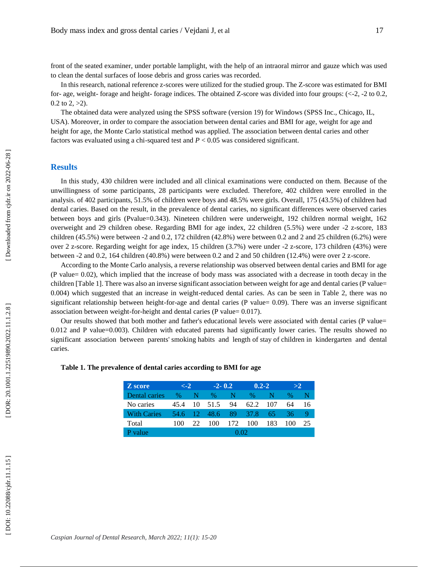front of the seated examiner, under portable lamplight, with the help of an intraoral mirror and gauze which was used to clean the dental surfaces of loose debris and gross caries was recorded.

In this research, national reference z -scores were utilized for the studied group. The Z -score was estimated for BMI for- age, weight- forage and height- forage indices. The obtained Z-score was divided into four groups: (<-2, -2 to 0.2,  $0.2$  to  $2, >2$ ).

The obtained data were analyzed using the SPSS software (version 19) for Windows (SPSS Inc., Chicago, IL, USA). Moreover, in order to compare the association between dental caries and BMI for age, weight for age and height for age, the Monte Carlo statistical method was applied. The association between dental caries and other factors was evaluated using a chi-squared test and  $P < 0.05$  was considered significant.

### **Results**

In this study, 430 children were included and all clinical examinations were conducted on them. Because of the unwillingness of some participants, 28 participants were excluded. Therefore, 402 children were enrolled in the analysis. of 402 participants, 51.5% of children were boys and 48.5% were girls. Overall, 175 (43.5%) of children had dental caries. Based on the result, in the prevalence of dental caries, no significant differences were observed caries between boys and girls (Pvalue=0.343). Nineteen children were underweight, 192 children normal weight, 162 overweight and 29 children obese. Regarding BMI for age index, 22 children (5.5%) were under -2 z -score, 183 children (45.5%) were between -2 and 0.2, 172 children (42.8%) were between 0.2 and 2 and 25 children (6.2%) were over 2 z -score. Regarding weight for age index, 15 children (3.7%) were under -2 z -score, 173 children (43%) were between -2 and 0.2, 164 children (40.8%) were between 0.2 and 2 and 50 children (12.4%) were over 2 z -score.

According to the Monte Carlo analysis, a reverse relationship was observed between dental caries and BMI for age (P value= 0.02), which implied that the increase of body mass was associated with a decrease in tooth decay in the children [Table 1]. There was also an inverse significant association between weight for age and dental caries (P value= 0.004) which suggested that an increase in weight -reduced dental caries. As can be seen in Table 2, there was no significant relationship between height-for-age and dental caries (P value= 0.09). There was an inverse significant association between weight -for -height and dental caries (P value= 0.017).

Our results showed that both mother and father's educational levels were associated with dental caries (P value= 0.012 and P value=0.003). Children with educated parents had significantly lower caries. The results showed no significant association between parents' smoking habits and length of stay of children in kindergarten and dental caries.

| Z score            | $\leq -2$ |  | $-2 - 0.2$ |      | $0.2 - 2$ |     | >2  |    |
|--------------------|-----------|--|------------|------|-----------|-----|-----|----|
| Dental caries      | %         |  | ℅          |      | ℅         |     | ℅   |    |
| No caries          | 45.4      |  | 10 51.5    | 94   | 62.2      | 107 | 64  | 16 |
| <b>With Caries</b> | 54.6 12   |  | -48.6      | 89.  | 37.8      | .65 | 36. |    |
| Total              | 100       |  | 100        | 172. | 100       | 183 | 100 | 25 |

P value 0.02

#### **Table 1. The prevalence of dental caries according to BMI for age**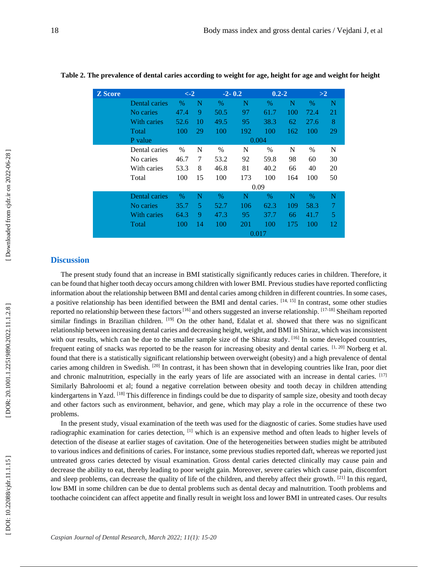| <b>Z</b> Score |               | $\leftarrow$ 2 |      | $-2 - 0.2$ |     | $0.2 - 2$ |     | >2   |    |
|----------------|---------------|----------------|------|------------|-----|-----------|-----|------|----|
|                | Dental caries | %              | N    | $\%$       | N   | $\%$      | N   | $\%$ | N  |
|                | No caries     | 47.4           | 9    | 50.5       | 97  | 61.7      | 100 | 72.4 | 21 |
|                | With caries   | 52.6           | 10   | 49.5       | 95  | 38.3      | 62  | 27.6 | 8  |
|                | Total         | 100            | 29   | 100        | 192 | 100       | 162 | 100  | 29 |
|                | P value       |                |      |            |     | 0.004     |     |      |    |
|                | Dental caries | $\%$           | N    | $\%$       | N   | $\%$      | N   | $\%$ | N  |
|                | No caries     | 46.7           | 7    | 53.2       | 92  | 59.8      | 98  | 60   | 30 |
|                | With caries   | 53.3           | 8    | 46.8       | 81  | 40.2      | 66  | 40   | 20 |
|                | Total         | 100            | 15   | 100        | 173 | 100       | 164 | 100  | 50 |
|                |               |                | 0.09 |            |     |           |     |      |    |
|                | Dental caries | %              | N    | $\%$       | N   | $\%$      | N   | $\%$ | N  |
|                | No caries     | 35.7           | 5    | 52.7       | 106 | 62.3      | 109 | 58.3 | 7  |
|                | With caries   | 64.3           | 9    | 47.3       | 95  | 37.7      | 66  | 41.7 | 5  |
|                | Total         | 100            | 14   | 100        | 201 | 100       | 175 | 100  | 12 |
|                |               | 0.017          |      |            |     |           |     |      |    |

## **Table 2. The prevalence of dental caries according to weight for age, height for age and weight for height**

# **Discussion**

The present study found that an increase in BMI statistically significantly reduces caries in children. Therefore, it can be found that higher tooth decay occurs among children with lower BMI. Previous studies have reported conflicting information about the relationship between BMI and dental caries among children in different countries. In some cases, a positive relationship has been identified between the BMI and dental caries. [14, 15] In contrast, some other studies reported no relationship between these factors  $[16]$  and others suggested an inverse relationship.  $[17-18]$  Sheiham reported similar findings in Brazilian children. [19] On the other hand, Edalat et al. showed that there was no significant relationship between increasing dental caries and decreasing height, weight, and BMI in Shiraz, which was inconsistent with our results, which can be due to the smaller sample size of the Shiraz study. [16] In some developed countries, frequent eating of snacks was reported to be the reason for increasing obesity and dental caries. [1, 20] Norberg et al. found that there is a statistically significant relationship between overweight (obesity) and a high prevalence of dental caries among children in Swedish. <sup>[20]</sup> In contrast, it has been shown that in developing countries like Iran, poor diet and chronic malnutrition, especially in the early years of life are associated with an increase in dental caries. [17] Similarly Bahroloomi et al; found a negative correlation between obesity and tooth decay in children attending kindergartens in Yazd. [18] This difference in findings could be due to disparity of sample size, obesity and tooth decay and other factors such as environment, behavior, and gene, which may play a role in the occurrence of these two problems.

In the present study, visual examination of the teeth was used for the diagnostic of caries. Some studies have used radiographic examination for caries detection, [1] which is an expensive method and often leads to higher levels of detection of the disease at earlier stages of cavitation. One of the heterogeneities between studies might be attributed to various indices and definitions of caries. For instance, some previous studies reported daft, whereas we reported just untreated gross caries detected by visual examination. Gross dental caries detected clinically may cause pain and decrease the ability to eat, thereby leading to poor weight gain. Moreover, severe caries which cause pain, discomfort and sleep problems, can decrease the quality of life of the children, and thereby affect their growth.  $[21]$  In this regard, low BMI in some children can be due to dental problems such as dental decay and malnutrition. Tooth problems and toothache coincident can affect appetite and finally result in weight loss and lower BMI in untreated cases. Our results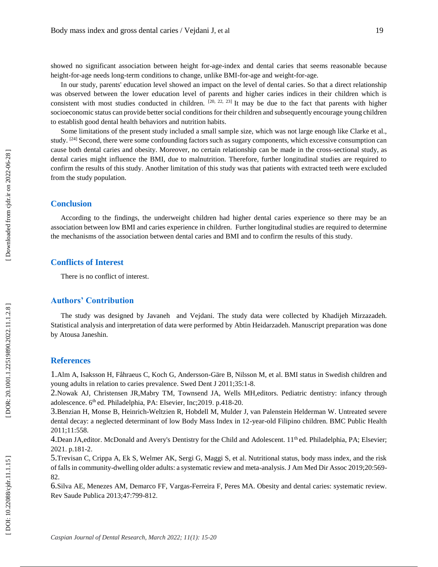showed no significant association between height for-age-index and dental caries that seems reasonable because height-for-age needs long-term conditions to change, unlike BMI-for-age and weight-for-age.

In our study, parents' education level showed an impact on the level of dental caries. So that a direct relationship was observed between the lower education level of parents and higher caries indices in their children which is consistent with most studies conducted in children.  $[20, 22, 23]$  It may be due to the fact that parents with higher socioeconomic status can provide better social conditions for their children and subsequently encourage young children to establish good dental health behaviors and nutrition habits.

Some limitations of the present study included a small sample size, which was not large enough like Clarke et al., study. <sup>[24]</sup> Second, there were some confounding factors such as sugary components, which excessive consumption can cause both dental caries and obesity. Moreover, no certain relationship can be made in the cross -sectional study, as dental caries might influence the BMI, due to malnutrition. Therefore, further longitudinal studies are required to confirm the results of this study. Another limitation of this study was that patients with extracted teeth were excluded from the study population.

#### **Conclusion**

According to the findings, the underweight children had higher dental caries experience so there may be an association between low BMI and caries experience in children. Further longitudinal studies are required to determine the mechanisms of the association between dental caries and BMI and to confirm the results of this study.

## **Conflicts of Interest**

There is no conflict of interest.

## **Authors' Contribution**

The study was designed by Javaneh and Vejdani. The study data were collected by Khadijeh Mirzazadeh. Statistical analysis and interpretation of data were performed by Abtin Heidarzadeh. Manuscript preparation was done by Atousa Janeshin.

#### **References**

1.Alm A, Isaksson H, Fåhraeus C, Koch G, Andersson -Gäre B, Nilsson M, et al. BMI status in Swedish children and young adults in relation to caries prevalence. Swed Dent J 2011;35:1-8.

2 .Nowak AJ , Christensen JR,Mabry TM, Townsend JA , [Wells](https://www.google.com/search?tbo=p&tbm=bks&q=inauthor:%22Martha+H.+Wells%22&source=gbs_metadata_r&cad=2) MH,editors. Pediatric dentistry: infancy through adolescence. 6<sup>th</sup> ed. Philadelphia, PA: Elsevier, Inc;2019. p.418-20.

3 .Benzian H, Monse B, Heinrich -Weltzien R, Hobdell M, Mulder J, van Palenstein Helderman W. Untreated severe dental decay: a neglected determinant of low Body Mass Index in 12-year-old Filipino children. BMC Public Health 2011;11:558.

4.Dean JA,editor. McDonald and Avery's Dentistry for the Child and Adolescent. 11<sup>th</sup> ed. Philadelphia, PA; Elsevier; 2021. p.181-2.

5 .Trevisan C, Crippa A, Ek S, Welmer AK, Sergi G, Maggi S, et al. Nutritional status, body mass index, and the risk of falls in community -dwelling older adults: a systematic review and meta -analysis. J Am Med Dir Assoc 2019;20:569 - 82.

6.Silva AE, Menezes AM, Demarco FF, Vargas -Ferreira F, Peres MA. Obesity and dental caries: systematic review. Rev Saude Publica 2013;47:799 -812 .